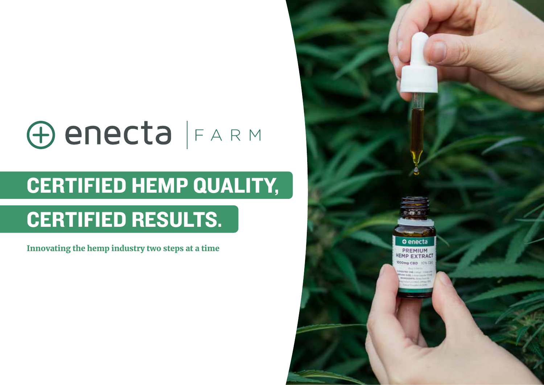## CERTIFIED HEMP QUALITY,

## CERTIFIED RESULTS.

Innovating the hemp industry two steps at a time

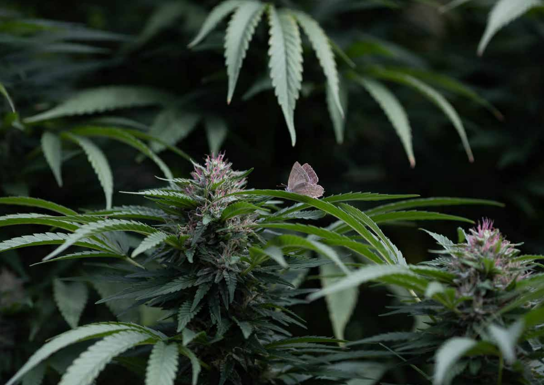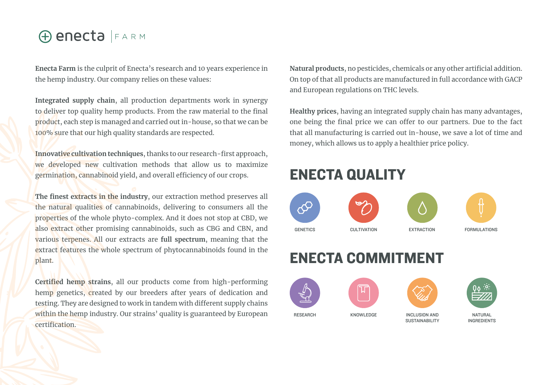**Enecta Farm** is the culprit of Enecta's research and 10 years experience in the hemp industry. Our company relies on these values:

**Integrated supply chain**, all production departments work in synergy to deliver top quality hemp products. From the raw material to the final product, each step is managed and carried out in-house, so that we can be 100% sure that our high quality standards are respected.

**Innovative cultivation techniques**, thanks to our research-first approach, we developed new cultivation methods that allow us to maximize germination, cannabinoid yield, and overall efficiency of our crops.

**The finest extracts in the industry**, our extraction method preserves all the natural qualities of cannabinoids, delivering to consumers all the properties of the whole phyto-complex. And it does not stop at CBD, we also extract other promising cannabinoids, such as CBG and CBN, and various terpenes. All our extracts are **full spectrum**, meaning that the extract features the whole spectrum of phytocannabinoids found in the plant.

**Certified hemp strains**, all our products come from high-performing hemp genetics, created by our breeders after years of dedication and testing. They are designed to work in tandem with different supply chains within the hemp industry. Our strains' quality is guaranteed by European certification.

**Natural products**, no pesticides, chemicals or any other artificial addition. On top of that all products are manufactured in full accordance with GACP and European regulations on THC levels.

**Healthy prices**, having an integrated supply chain has many advantages, one being the final price we can offer to our partners. Due to the fact that all manufacturing is carried out in-house, we save a lot of time and money, which allows us to apply a healthier price policy.

### ENECTA QUALITY

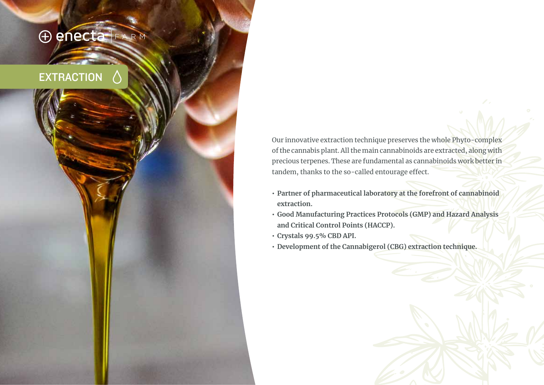### **THE POINT OF A R**

### **EXTRACTION**

Our innovative extraction technique preserves the whole Phyto-complex of the cannabis plant. All the main cannabinoids are extracted, along with precious terpenes. These are fundamental as cannabinoids work better in tandem, thanks to the so-called entourage effect.

- **• Partner of pharmaceutical laboratory at the forefront of cannabinoid extraction.**
- **• Good Manufacturing Practices Protocols (GMP) and Hazard Analysis and Critical Control Points (HACCP).**
- **• Crystals 99.5% CBD API.**
- **• Development of the Cannabigerol (CBG) extraction technique.**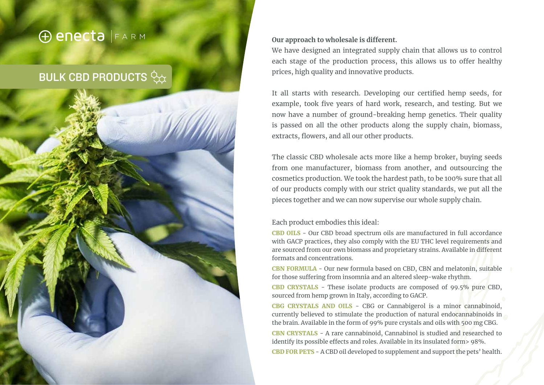### BULK CBD PRODUCTS  $\Im$

#### **Our approach to wholesale is different.**

We have designed an integrated supply chain that allows us to control each stage of the production process, this allows us to offer healthy prices, high quality and innovative products.

It all starts with research. Developing our certified hemp seeds, for example, took five years of hard work, research, and testing. But we now have a number of ground-breaking hemp genetics. Their quality is passed on all the other products along the supply chain, biomass, extracts, flowers, and all our other products.

The classic CBD wholesale acts more like a hemp broker, buying seeds from one manufacturer, biomass from another, and outsourcing the cosmetics production. We took the hardest path, to be 100% sure that all of our products comply with our strict quality standards, we put all the pieces together and we can now supervise our whole supply chain.

#### Each product embodies this ideal:

CBD OILS - Our CBD broad spectrum oils are manufactured in full accordance with GACP practices, they also comply with the EU THC level requirements and are sourced from our own biomass and proprietary strains. Available in different formats and concentrations.

CBN FORMULA - Our new formula based on CBD, CBN and melatonin, suitable for those suffering from insomnia and an altered sleep-wake rhythm.

CBD CRYSTALS - These isolate products are composed of 99.5% pure CBD, sourced from hemp grown in Italy, according to GACP.

CBG CRYSTALS AND OILS - CBG or Cannabigerol is a minor cannabinoid, currently believed to stimulate the production of natural endocannabinoids in the brain. Available in the form of 99% pure crystals and oils with 500 mg CBG.

CBN CRYSTALS - A rare cannabinoid, Cannabinol is studied and researched to identify its possible effects and roles. Available in its insulated form> 98%.

CBD FOR PETS - A CBD oil developed to supplement and support the pets' health.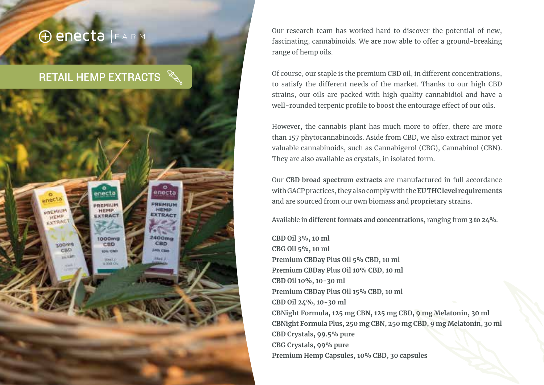### RETAIL HEMP EXTRACTS

 $\bullet$ mecta

**REMAIN** 

**HEMP** 

**EXTRACT** 

pmoon cno

IDK CRI

 $\frac{10003}{12100}$ 

**PREMIUM** 

WEMP **CYTRAC** 

> uname **CBD**

> > $m$ can

 $rac{1}{\sqrt{2}}$ 

PRIEMILIN

HITME

EXTRACT

**FOOm** 

Our research team has worked hard to discover the potential of new, fascinating, cannabinoids. We are now able to offer a ground-breaking range of hemp oils.

Of course, our staple is the premium CBD oil, in different concentrations, to satisfy the different needs of the market. Thanks to our high CBD strains, our oils are packed with high quality cannabidiol and have a well-rounded terpenic profile to boost the entourage effect of our oils.

However, the cannabis plant has much more to offer, there are more than 157 phytocannabinoids. Aside from CBD, we also extract minor yet valuable cannabinoids, such as Cannabigerol (CBG), Cannabinol (CBN). They are also available as crystals, in isolated form.

Our **CBD broad spectrum extracts** are manufactured in full accordance with GACP practices, they also comply with the **EU THC level requirements**  and are sourced from our own biomass and proprietary strains.

Available in **different formats and concentrations**, ranging from **3 to 24%**.

**CBD Oil 3%, 10 ml CBG Oil 5%, 10 ml Premium CBDay Plus Oil 5% CBD, 10 ml Premium CBDay Plus Oil 10% CBD, 10 ml CBD Oil 10%, 10-30 ml Premium CBDay Plus Oil 15% CBD, 10 ml CBD Oil 24%, 10-30 ml CBNight Formula, 125 mg CBN, 125 mg CBD, 9 mg Melatonin, 30 ml CBNight Formula Plus, 250 mg CBN, 250 mg CBD, 9 mg Melatonin, 30 ml CBD Crystals, 99.5% pure CBG Crystals, 99% pure Premium Hemp Capsules, 10% CBD, 30 capsules**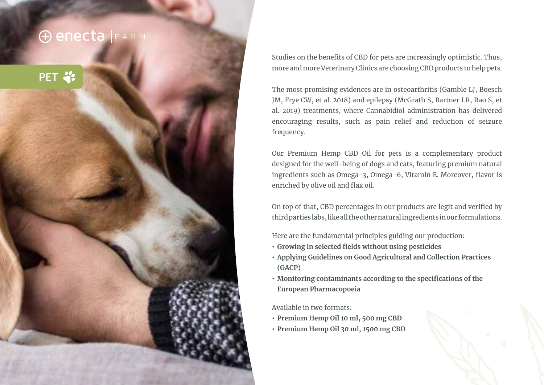### **THECTO** FARM

PET 3

Studies on the benefits of CBD for pets are increasingly optimistic. Thus, more and more Veterinary Clinics are choosing CBD products to help pets.

The most promising evidences are in osteoarthritis (Gamble LJ, Boesch JM, Frye CW, et al. 2018) and epilepsy (McGrath S, Bartner LR, Rao S, et al. 2019) treatments, where Cannabidiol administration has delivered encouraging results, such as pain relief and reduction of seizure frequency.

Our Premium Hemp CBD Oil for pets is a complementary product designed for the well-being of dogs and cats, featuring premium natural ingredients such as Omega-3, Omega-6, Vitamin E. Moreover, flavor is enriched by olive oil and flax oil.

On top of that, CBD percentages in our products are legit and verified by third parties labs, like all the other natural ingredients in our formulations.

Here are the fundamental principles guiding our production:

- **• Growing in selected fields without using pesticides**
- **• Applying Guidelines on Good Agricultural and Collection Practices (GACP)**
- **• Monitoring contaminants according to the specifications of the European Pharmacopoeia**

Available in two formats:

- **• Premium Hemp Oil 10 ml, 500 mg CBD**
- **• Premium Hemp Oil 30 ml, 1500 mg CBD**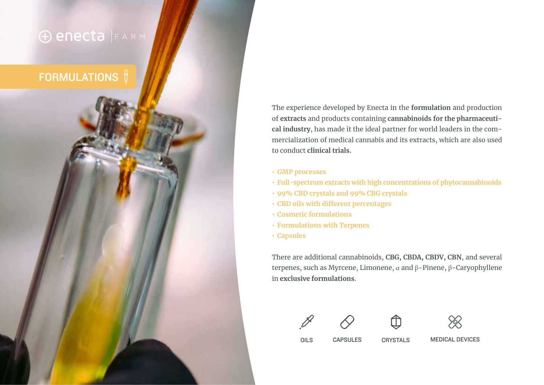### FORMULATIONS  $\oint$

The experience developed by Enecta in the **formulation** and production of **extracts** and products containing **cannabinoids for the pharmaceutical industry**, has made it the ideal partner for world leaders in the commercialization of medical cannabis and its extracts, which are also used to conduct **clinical trials.**

- **• GMP processes**
- **• Full-spectrum extracts with high concentrations of phytocannabinoids**
- **• 99% CBD crystals and 99% CBG crystals**
- **• CBD oils with different percentages**
- **• Cosmetic formulations**
- **• Formulations with Terpenes**
- **• Capsules**

There are additional cannabinoids, **CBG, CBDA, CBDV, CBN**, and several terpenes, such as Myrcene, Limonene, α and β-Pinene, β-Caryophyllene in **exclusive formulations**.





OILS CAPSULES CRYSTALS MEDICAL DEVICES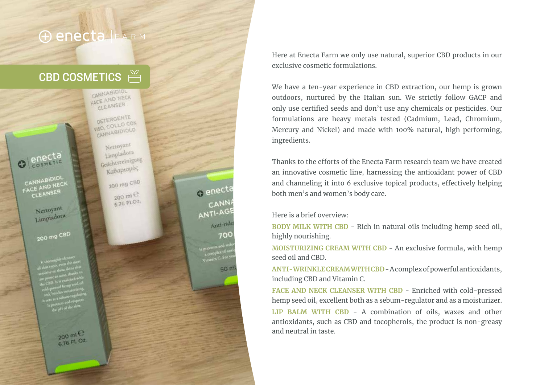### **CBD COSMETICS**

CANNABIDIOL FACE AND NECK CLEANSER

DETERGENTE VISO, COLLO CON CANNABIDIOLO

> Nettoyant Limpiadora Gesichtsreinigung Καθαρισμός

> > 200 mg CBD  $200 \text{ m}$ e

o enecta

ANTI-AGE

CANN

Anti-ride

 $700$ 

 $n \subset$  For  $50<sub>m</sub>$ 

6.76 FLOZ.

CANNABIDIOL FACE AND NECK CLEANSER

Nettoyant

Limpiadora

200 mg CBD

 $200 \text{ mi} \frac{\text{C}}{\text{C}}$ 200 FL 02 Here at Enecta Farm we only use natural, superior CBD products in our exclusive cosmetic formulations.

We have a ten-year experience in CBD extraction, our hemp is grown outdoors, nurtured by the Italian sun. We strictly follow GACP and only use certified seeds and don't use any chemicals or pesticides. Our formulations are heavy metals tested (Cadmium, Lead, Chromium, Mercury and Nickel) and made with 100% natural, high performing, ingredients.

Thanks to the efforts of the Enecta Farm research team we have created an innovative cosmetic line, harnessing the antioxidant power of CBD and channeling it into 6 exclusive topical products, effectively helping both men's and women's body care.

Here is a brief overview:

**BODY MILK WITH CBD** - Rich in natural oils including hemp seed oil, highly nourishing.

**MOISTURIZING CREAM WITH CBD** - An exclusive formula, with hemp seed oil and CBD.

**ANTI-WRINKLE CREAM WITH CBD**- A complex of powerful antioxidants, including CBD and Vitamin C.

**FACE AND NECK CLEANSER WITH CBD** - Enriched with cold-pressed hemp seed oil, excellent both as a sebum-regulator and as a moisturizer.

**LIP BALM WITH CBD** - A combination of oils, waxes and other antioxidants, such as CBD and tocopherols, the product is non-greasy and neutral in taste.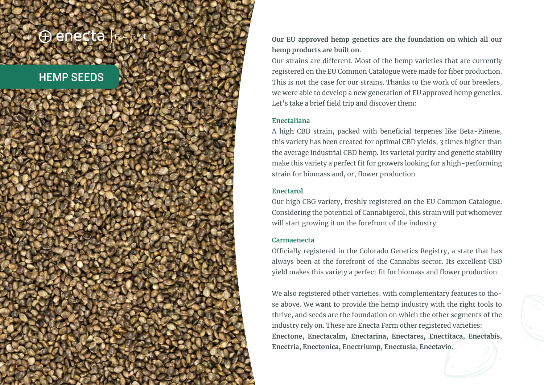### **O** enecta i

HEMP SEEDS

**Our EU approved hemp genetics are the foundation on which all our hemp products are built on.** 

Our strains are different. Most of the hemp varieties that are currently registered on the EU Common Catalogue were made for fiber production. This is not the case for our strains. Thanks to the work of our breeders, we were able to develop a new generation of EU approved hemp genetics. Let's take a brief field trip and discover them:

#### **Enectaliana**

A high CBD strain, packed with beneficial terpenes like Beta-Pinene, this variety has been created for optimal CBD yields, 3 times higher than the average industrial CBD hemp. Its varietal purity and genetic stability make this variety a perfect fit for growers looking for a high-performing strain for biomass and, or, flower production.

#### **Enectarol**

Our high CBG variety, freshly registered on the EU Common Catalogue. Considering the potential of Cannabigerol, this strain will put whomever will start growing it on the forefront of the industry.

#### **Carmaenecta**

Officially registered in the Colorado Genetics Registry, a state that has always been at the forefront of the Cannabis sector. Its excellent CBD yield makes this variety a perfect fit for biomass and flower production.

We also registered other varieties, with complementary features to those above. We want to provide the hemp industry with the right tools to thrive, and seeds are the foundation on which the other segments of the industry rely on. These are Enecta Farm other registered varieties: **Enectone, Enectacalm, Enectarina, Enectares, Enectitaca, Enectabis, Enectria, Enectonica, Enectriump, Enectusia, Enectavio.**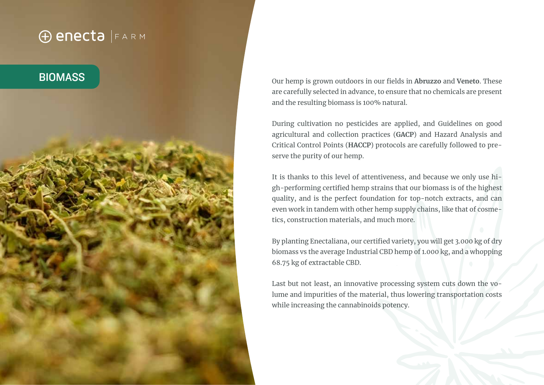BIOMASS Our hemp is grown outdoors in our fields in **Abruzzo** and **Veneto**. These are carefully selected in advance, to ensure that no chemicals are present and the resulting biomass is 100% natural.

> During cultivation no pesticides are applied, and Guidelines on good agricultural and collection practices (**GACP**) and Hazard Analysis and Critical Control Points (**HACCP**) protocols are carefully followed to preserve the purity of our hemp.

> It is thanks to this level of attentiveness, and because we only use high-performing certified hemp strains that our biomass is of the highest quality, and is the perfect foundation for top-notch extracts, and can even work in tandem with other hemp supply chains, like that of cosmetics, construction materials, and much more.

> By planting Enectaliana, our certified variety, you will get 3.000 kg of dry biomass vs the average Industrial CBD hemp of 1.000 kg, and a whopping 68.75 kg of extractable CBD.

> Last but not least, an innovative processing system cuts down the volume and impurities of the material, thus lowering transportation costs while increasing the cannabinoids potency.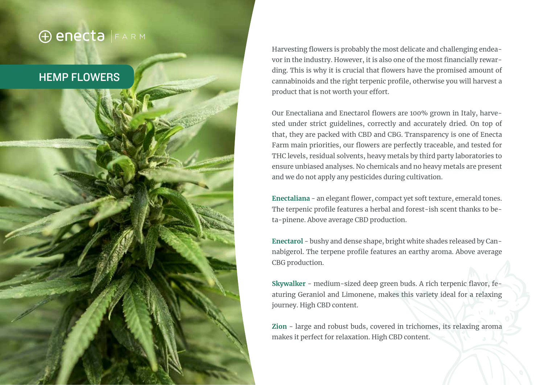### HEMP FLOWERS

Harvesting flowers is probably the most delicate and challenging endeavor in the industry. However, it is also one of the most financially rewarding. This is why it is crucial that flowers have the promised amount of cannabinoids and the right terpenic profile, otherwise you will harvest a product that is not worth your effort.

Our Enectaliana and Enectarol flowers are 100% grown in Italy, harvested under strict guidelines, correctly and accurately dried. On top of that, they are packed with CBD and CBG. Transparency is one of Enecta Farm main priorities, our flowers are perfectly traceable, and tested for THC levels, residual solvents, heavy metals by third party laboratories to ensure unbiased analyses. No chemicals and no heavy metals are present and we do not apply any pesticides during cultivation.

**Enectaliana** - an elegant flower, compact yet soft texture, emerald tones. The terpenic profile features a herbal and forest-ish scent thanks to beta-pinene. Above average CBD production.

**Enectarol** - bushy and dense shape, bright white shades released by Cannabigerol. The terpene profile features an earthy aroma. Above average CBG production.

**Skywalker** - medium-sized deep green buds. A rich terpenic flavor, featuring Geraniol and Limonene, makes this variety ideal for a relaxing journey. High CBD content.

**Zion** - large and robust buds, covered in trichomes, its relaxing aroma makes it perfect for relaxation. High CBD content.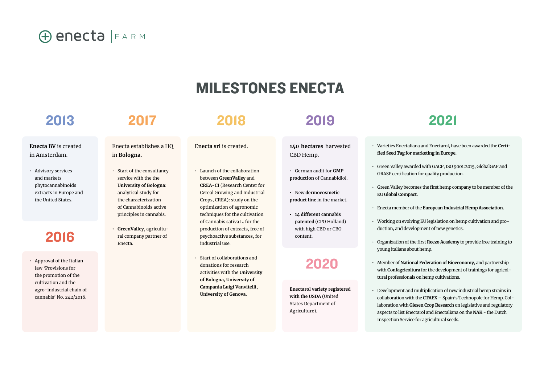### MILESTONES ENECTA

### 2013

#### **Enecta BV** is created in Amsterdam.

• Advisory services and markets phytocannabinoids extracts in Europe and the United States.

### 2016

• Approval of the Italian law 'Provisions for the promotion of the cultivation and the agro-industrial chain of cannabis' No. 242/2016.

#### Enecta establishes a HQ in **Bologna.**

- Start of the consultancy service with the the **University of Bologna**: analytical study for the characterization of Cannabinoids active principles in cannabis.
- **• GreenValley**, agricultural company partner of Enecta.
- industrial use. • Start of collaborations and donations for research activities with the **University of Bologna, University of Campania Luigi Vanvitelli,**

**University of Genova.**

• Launch of the collaboration between **GreenValley** and **CREA-CI** (Research Center for Cereal Growing and Industrial Crops, CREA): study on the optimization of agronomic techniques for the cultivation of Cannabis sativa L. for the production of extracts, free of psychoactive substances, for

### 2017 2018 2019

**Enecta srl** is created. **140 hectares** harvested CBD Hemp.

- German audit for **GMP production** of Cannabidiol.
- New **dermocosmetic product line** in the market.
- **• 14 different cannabis patented** (CPO Holland) with high CBD or CBG content.

### 2020

**Enectarol variety registered with the USDA** (United States Department of Agriculture).

### 2021

- Varieties Enectaliana and Enectarol, have been awarded the **Certified Seed Tag for marketing in Europe.**
- Green Valley awarded with GACP, ISO 9001:2015, GlobalGAP and GRASP certification for quality production.
- Green Valley becomes the first hemp company to be member of the **EU Global Compact.**
- Enecta member of the **European Industrial Hemp Association.**
- Working on evolving EU legislation on hemp cultivation and production, and development of new genetics.
- Organization of the first **Reezo Academy** to provide free training to young italians about hemp.
- Member of **National Federation of Bioeconomy**, and partnership with **Confagricoltura** for the development of trainings for agricoltural professionals on hemp cultivations.
- Development and multiplication of new industrial hemp strains in collaboration with the **CTAEX** – Spain's Technopole for Hemp. Collaboration with **Giesen Crop Research** on legislative and regulatory aspects to list Enectarol and Enectaliana on the **NAK** - the Dutch Inspection Service for agricultural seeds.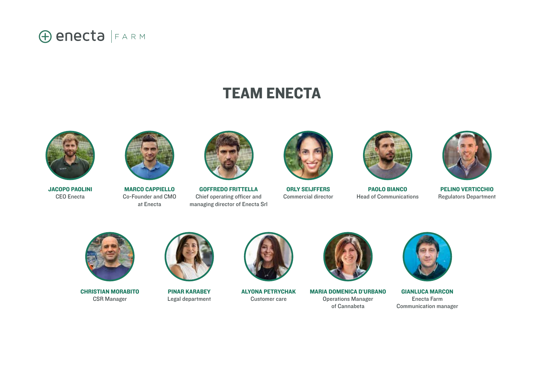

### TEAM ENECTA



JACOPO PAOLINI CEO Enecta



MARCO CAPPIELLO Co-Founder and CMO at Enecta



GOFFREDO FRITTELLA Chief operating officer and managing director of Enecta Srl



ORLY SEIJFFERS Commercial director



PAOLO BIANCO Head of Communications



PELINO VERTICCHIO Regulators Department



CHRISTIAN MORABITO CSR Manager



PINAR KARABEY Legal department



ALYONA PETRYCHAK Customer care



MARIA DOMENICA D'URBANO Operations Manager of Cannabeta



GIANLUCA MARCON Enecta Farm Communication manager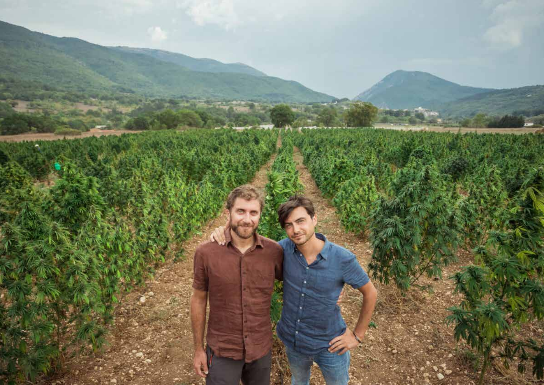